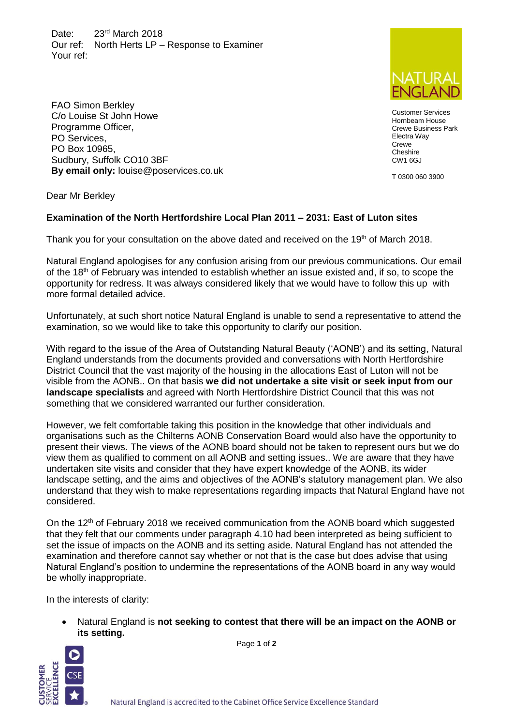Date: 23<sup>rd</sup> March 2018 Our ref: North Herts LP – Response to Examiner Your ref:



Customer Services Hornbeam House Crewe Business Park Electra Way **Crewe Cheshire** CW1 6GJ

T 0300 060 3900

Dear Mr Berkley

PO Services, PO Box 10965,

FAO Simon Berkley C/o Louise St John Howe Programme Officer,

Sudbury, Suffolk CO10 3BF

**By email only:** louise@poservices.co.uk

## **Examination of the North Hertfordshire Local Plan 2011 – 2031: East of Luton sites**

Thank you for your consultation on the above dated and received on the 19th of March 2018.

Natural England apologises for any confusion arising from our previous communications. Our email of the 18<sup>th</sup> of February was intended to establish whether an issue existed and, if so, to scope the opportunity for redress. It was always considered likely that we would have to follow this up with more formal detailed advice.

Unfortunately, at such short notice Natural England is unable to send a representative to attend the examination, so we would like to take this opportunity to clarify our position.

With regard to the issue of the Area of Outstanding Natural Beauty ('AONB') and its setting, Natural England understands from the documents provided and conversations with North Hertfordshire District Council that the vast majority of the housing in the allocations East of Luton will not be visible from the AONB.. On that basis **we did not undertake a site visit or seek input from our landscape specialists** and agreed with North Hertfordshire District Council that this was not something that we considered warranted our further consideration.

However, we felt comfortable taking this position in the knowledge that other individuals and organisations such as the Chilterns AONB Conservation Board would also have the opportunity to present their views. The views of the AONB board should not be taken to represent ours but we do view them as qualified to comment on all AONB and setting issues.. We are aware that they have undertaken site visits and consider that they have expert knowledge of the AONB, its wider landscape setting, and the aims and objectives of the AONB's statutory management plan. We also understand that they wish to make representations regarding impacts that Natural England have not considered.

On the  $12<sup>th</sup>$  of February 2018 we received communication from the AONB board which suggested that they felt that our comments under paragraph 4.10 had been interpreted as being sufficient to set the issue of impacts on the AONB and its setting aside. Natural England has not attended the examination and therefore cannot say whether or not that is the case but does advise that using Natural England's position to undermine the representations of the AONB board in any way would be wholly inappropriate.

In the interests of clarity:

 Natural England is **not seeking to contest that there will be an impact on the AONB or its setting.**





Natural England is accredited to the Cabinet Office Service Excellence Standard